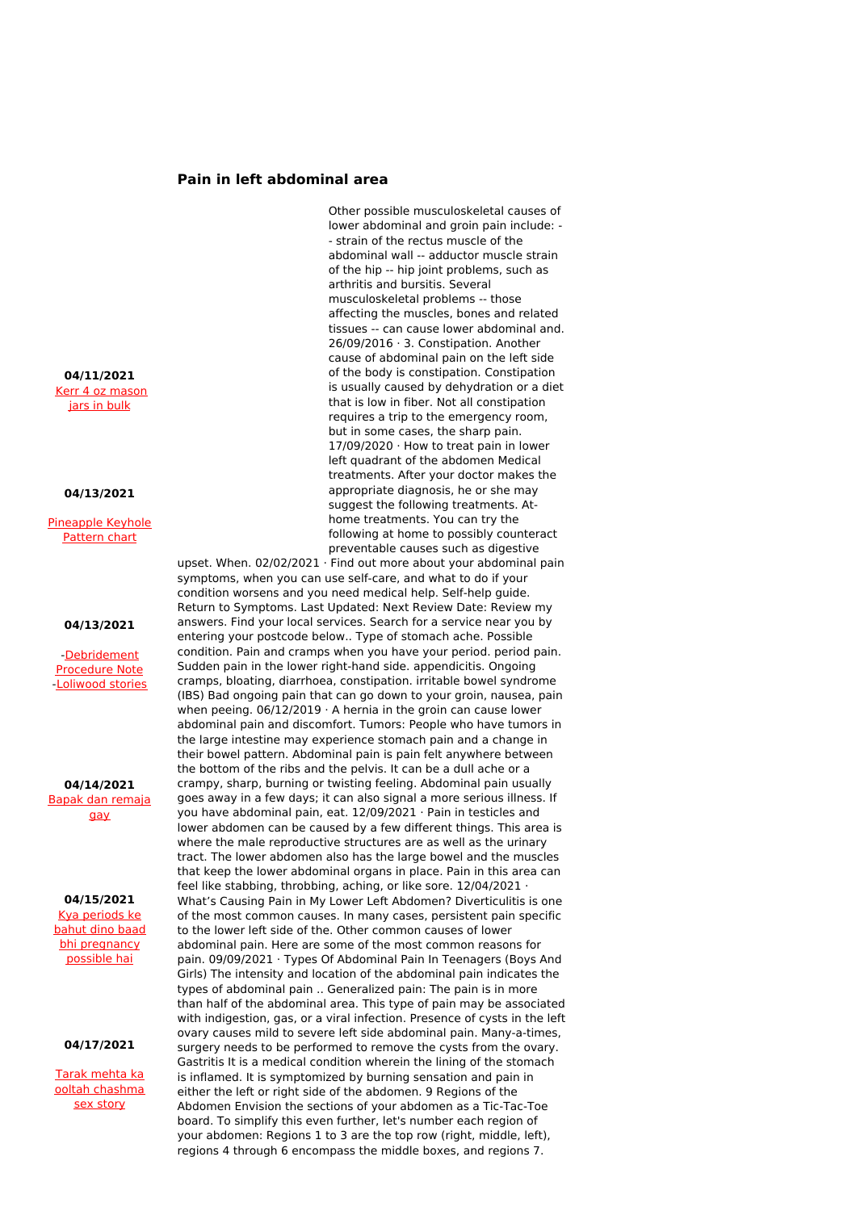# **Pain in left abdominal area**

Other possible musculoskeletal causes of lower abdominal and groin pain include: -- strain of the rectus muscle of the abdominal wall -- adductor muscle strain of the hip -- hip joint problems, such as arthritis and bursitis. Several musculoskeletal problems -- those affecting the muscles, bones and related tissues -- can cause lower abdominal and. 26/09/2016 · 3. Constipation. Another cause of abdominal pain on the left side of the body is constipation. Constipation is usually caused by dehydration or a diet that is low in fiber. Not all constipation requires a trip to the emergency room, but in some cases, the sharp pain. 17/09/2020 · How to treat pain in lower left quadrant of the abdomen Medical treatments. After your doctor makes the appropriate diagnosis, he or she may suggest the following treatments. Athome treatments. You can try the following at home to possibly counteract preventable causes such as digestive

upset. When. 02/02/2021 · Find out more about your abdominal pain symptoms, when you can use self-care, and what to do if your condition worsens and you need medical help. Self-help guide. Return to Symptoms. Last Updated: Next Review Date: Review my answers. Find your local services. Search for a service near you by entering your postcode below.. Type of stomach ache. Possible condition. Pain and cramps when you have your period. period pain. Sudden pain in the lower right-hand side. appendicitis. Ongoing cramps, bloating, diarrhoea, constipation. irritable bowel syndrome (IBS) Bad ongoing pain that can go down to your groin, nausea, pain when peeing.  $06/12/2019 \cdot A$  hernia in the groin can cause lower abdominal pain and discomfort. Tumors: People who have tumors in the large intestine may experience stomach pain and a change in their bowel pattern. Abdominal pain is pain felt anywhere between the bottom of the ribs and the pelvis. It can be a dull ache or a crampy, sharp, burning or twisting feeling. Abdominal pain usually goes away in a few days; it can also signal a more serious illness. If you have abdominal pain, eat. 12/09/2021 · Pain in testicles and lower abdomen can be caused by a few different things. This area is where the male reproductive structures are as well as the urinary tract. The lower abdomen also has the large bowel and the muscles that keep the lower abdominal organs in place. Pain in this area can feel like stabbing, throbbing, aching, or like sore. 12/04/2021 · What's Causing Pain in My Lower Left Abdomen? Diverticulitis is one of the most common causes. In many cases, persistent pain specific to the lower left side of the. Other common causes of lower abdominal pain. Here are some of the most common reasons for pain. 09/09/2021 · Types Of Abdominal Pain In Teenagers (Boys And Girls) The intensity and location of the abdominal pain indicates the types of abdominal pain .. Generalized pain: The pain is in more than half of the abdominal area. This type of pain may be associated with indigestion, gas, or a viral infection. Presence of cysts in the left ovary causes mild to severe left side abdominal pain. Many-a-times, surgery needs to be performed to remove the cysts from the ovary. Gastritis It is a medical condition wherein the lining of the stomach is inflamed. It is symptomized by burning sensation and pain in either the left or right side of the abdomen. 9 Regions of the Abdomen Envision the sections of your abdomen as a Tic-Tac-Toe board. To simplify this even further, let's number each region of your abdomen: Regions 1 to 3 are the top row (right, middle, left), regions 4 through 6 encompass the middle boxes, and regions 7.

**04/11/2021** Kerr 4 oz [mason](https://glazurnicz.pl/l2) jars in bulk

### **04/13/2021**

[Pineapple](https://szansaweb.pl/4F) Keyhole Pattern chart

### **04/13/2021**

[-Debridement](https://deathcamptour.pl/896) Procedure Note [-Loliwood](https://szansaweb.pl/YK5) stories

**04/14/2021** Bapak dan [remaja](https://szansaweb.pl/7Q) gay

**04/15/2021** Kya periods ke bahut dino baad bhi [pregnancy](https://deathcamptour.pl/iH) possible hai

## **04/17/2021**

Tarak mehta ka ooltah [chashma](https://deathcamptour.pl/SI2) sex story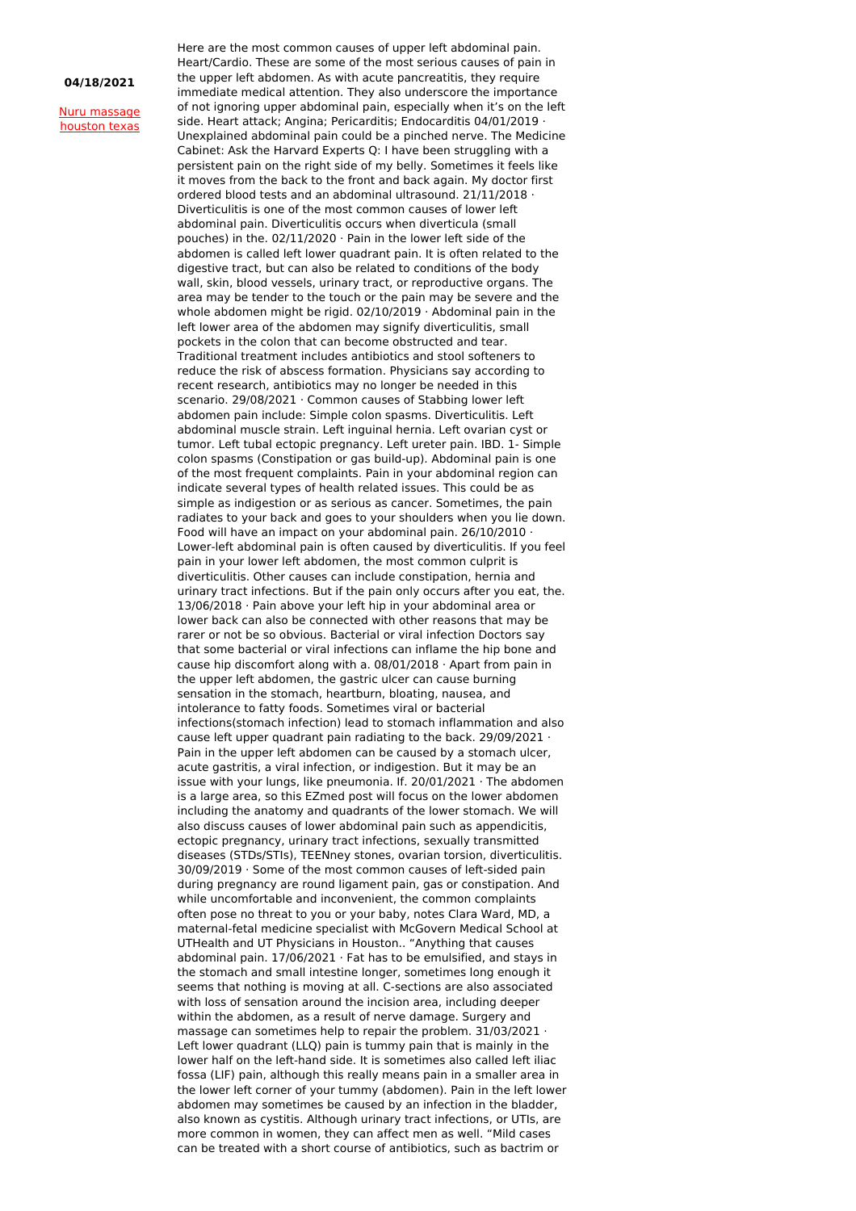### **04/18/2021**

Nuru [massage](https://szansaweb.pl/kXn) houston texas Here are the most common causes of upper left abdominal pain. Heart/Cardio. These are some of the most serious causes of pain in the upper left abdomen. As with acute pancreatitis, they require immediate medical attention. They also underscore the importance of not ignoring upper abdominal pain, especially when it's on the left side. Heart attack; Angina; Pericarditis; Endocarditis 04/01/2019 · Unexplained abdominal pain could be a pinched nerve. The Medicine Cabinet: Ask the Harvard Experts Q: I have been struggling with a persistent pain on the right side of my belly. Sometimes it feels like it moves from the back to the front and back again. My doctor first ordered blood tests and an abdominal ultrasound. 21/11/2018 · Diverticulitis is one of the most common causes of lower left abdominal pain. Diverticulitis occurs when diverticula (small pouches) in the. 02/11/2020 · Pain in the lower left side of the abdomen is called left lower quadrant pain. It is often related to the digestive tract, but can also be related to conditions of the body wall, skin, blood vessels, urinary tract, or reproductive organs. The area may be tender to the touch or the pain may be severe and the whole abdomen might be rigid.  $02/10/2019 \cdot$  Abdominal pain in the left lower area of the abdomen may signify diverticulitis, small pockets in the colon that can become obstructed and tear. Traditional treatment includes antibiotics and stool softeners to reduce the risk of abscess formation. Physicians say according to recent research, antibiotics may no longer be needed in this scenario. 29/08/2021 · Common causes of Stabbing lower left abdomen pain include: Simple colon spasms. Diverticulitis. Left abdominal muscle strain. Left inguinal hernia. Left ovarian cyst or tumor. Left tubal ectopic pregnancy. Left ureter pain. IBD. 1- Simple colon spasms (Constipation or gas build-up). Abdominal pain is one of the most frequent complaints. Pain in your abdominal region can indicate several types of health related issues. This could be as simple as indigestion or as serious as cancer. Sometimes, the pain radiates to your back and goes to your shoulders when you lie down. Food will have an impact on your abdominal pain. 26/10/2010 · Lower-left abdominal pain is often caused by diverticulitis. If you feel pain in your lower left abdomen, the most common culprit is diverticulitis. Other causes can include constipation, hernia and urinary tract infections. But if the pain only occurs after you eat, the. 13/06/2018 · Pain above your left hip in your abdominal area or lower back can also be connected with other reasons that may be rarer or not be so obvious. Bacterial or viral infection Doctors say that some bacterial or viral infections can inflame the hip bone and cause hip discomfort along with a.  $08/01/2018 \cdot$  Apart from pain in the upper left abdomen, the gastric ulcer can cause burning sensation in the stomach, heartburn, bloating, nausea, and intolerance to fatty foods. Sometimes viral or bacterial infections(stomach infection) lead to stomach inflammation and also cause left upper quadrant pain radiating to the back. 29/09/2021 · Pain in the upper left abdomen can be caused by a stomach ulcer, acute gastritis, a viral infection, or indigestion. But it may be an issue with your lungs, like pneumonia. If.  $20/01/2021 \cdot$  The abdomen is a large area, so this EZmed post will focus on the lower abdomen including the anatomy and quadrants of the lower stomach. We will also discuss causes of lower abdominal pain such as appendicitis, ectopic pregnancy, urinary tract infections, sexually transmitted diseases (STDs/STIs), TEENney stones, ovarian torsion, diverticulitis. 30/09/2019 · Some of the most common causes of left-sided pain during pregnancy are round ligament pain, gas or constipation. And while uncomfortable and inconvenient, the common complaints often pose no threat to you or your baby, notes Clara Ward, MD, a maternal-fetal medicine specialist with McGovern Medical School at UTHealth and UT Physicians in Houston.. "Anything that causes abdominal pain.  $17/06/2021 \cdot$  Fat has to be emulsified, and stays in the stomach and small intestine longer, sometimes long enough it seems that nothing is moving at all. C-sections are also associated with loss of sensation around the incision area, including deeper within the abdomen, as a result of nerve damage. Surgery and massage can sometimes help to repair the problem. 31/03/2021 · Left lower quadrant (LLQ) pain is tummy pain that is mainly in the lower half on the left-hand side. It is sometimes also called left iliac fossa (LIF) pain, although this really means pain in a smaller area in the lower left corner of your tummy (abdomen). Pain in the left lower abdomen may sometimes be caused by an infection in the bladder, also known as cystitis. Although urinary tract infections, or UTIs, are more common in women, they can affect men as well. "Mild cases can be treated with a short course of antibiotics, such as bactrim or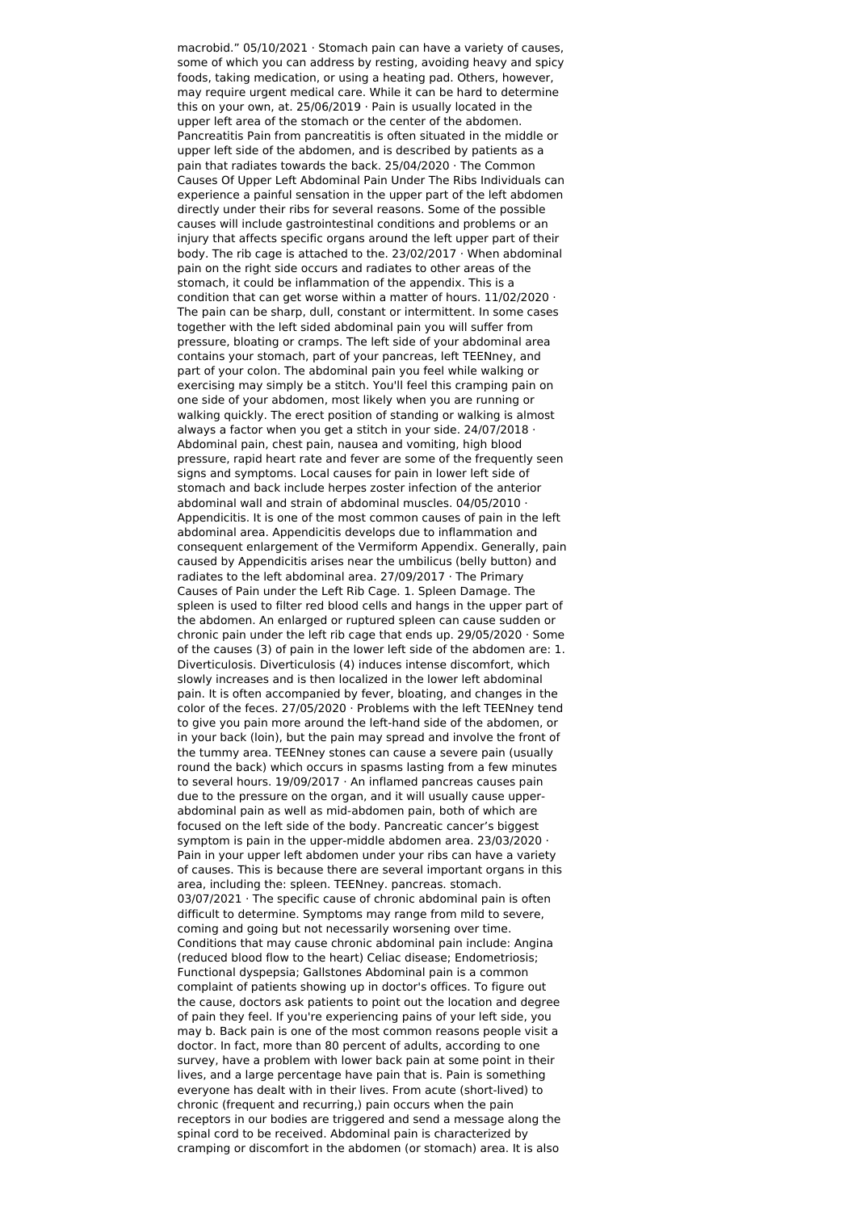macrobid." 05/10/2021 · Stomach pain can have a variety of causes, some of which you can address by resting, avoiding heavy and spicy foods, taking medication, or using a heating pad. Others, however, may require urgent medical care. While it can be hard to determine this on your own, at.  $25/06/2019 \cdot$  Pain is usually located in the upper left area of the stomach or the center of the abdomen. Pancreatitis Pain from pancreatitis is often situated in the middle or upper left side of the abdomen, and is described by patients as a pain that radiates towards the back. 25/04/2020 · The Common Causes Of Upper Left Abdominal Pain Under The Ribs Individuals can experience a painful sensation in the upper part of the left abdomen directly under their ribs for several reasons. Some of the possible causes will include gastrointestinal conditions and problems or an injury that affects specific organs around the left upper part of their body. The rib cage is attached to the.  $23/02/2017 \cdot$  When abdominal pain on the right side occurs and radiates to other areas of the stomach, it could be inflammation of the appendix. This is a condition that can get worse within a matter of hours. 11/02/2020 · The pain can be sharp, dull, constant or intermittent. In some cases together with the left sided abdominal pain you will suffer from pressure, bloating or cramps. The left side of your abdominal area contains your stomach, part of your pancreas, left TEENney, and part of your colon. The abdominal pain you feel while walking or exercising may simply be a stitch. You'll feel this cramping pain on one side of your abdomen, most likely when you are running or walking quickly. The erect position of standing or walking is almost always a factor when you get a stitch in your side. 24/07/2018 · Abdominal pain, chest pain, nausea and vomiting, high blood pressure, rapid heart rate and fever are some of the frequently seen signs and symptoms. Local causes for pain in lower left side of stomach and back include herpes zoster infection of the anterior abdominal wall and strain of abdominal muscles. 04/05/2010 · Appendicitis. It is one of the most common causes of pain in the left abdominal area. Appendicitis develops due to inflammation and consequent enlargement of the Vermiform Appendix. Generally, pain caused by Appendicitis arises near the umbilicus (belly button) and radiates to the left abdominal area. 27/09/2017 · The Primary Causes of Pain under the Left Rib Cage. 1. Spleen Damage. The spleen is used to filter red blood cells and hangs in the upper part of the abdomen. An enlarged or ruptured spleen can cause sudden or chronic pain under the left rib cage that ends up. 29/05/2020 · Some of the causes (3) of pain in the lower left side of the abdomen are: 1. Diverticulosis. Diverticulosis (4) induces intense discomfort, which slowly increases and is then localized in the lower left abdominal pain. It is often accompanied by fever, bloating, and changes in the color of the feces. 27/05/2020 · Problems with the left TEENney tend to give you pain more around the left-hand side of the abdomen, or in your back (loin), but the pain may spread and involve the front of the tummy area. TEENney stones can cause a severe pain (usually round the back) which occurs in spasms lasting from a few minutes to several hours. 19/09/2017 · An inflamed pancreas causes pain due to the pressure on the organ, and it will usually cause upperabdominal pain as well as mid-abdomen pain, both of which are focused on the left side of the body. Pancreatic cancer's biggest symptom is pain in the upper-middle abdomen area. 23/03/2020 · Pain in your upper left abdomen under your ribs can have a variety of causes. This is because there are several important organs in this area, including the: spleen. TEENney. pancreas. stomach.  $03/07/2021$   $\cdot$  The specific cause of chronic abdominal pain is often difficult to determine. Symptoms may range from mild to severe, coming and going but not necessarily worsening over time. Conditions that may cause chronic abdominal pain include: Angina (reduced blood flow to the heart) Celiac disease; Endometriosis; Functional dyspepsia; Gallstones Abdominal pain is a common complaint of patients showing up in doctor's offices. To figure out the cause, doctors ask patients to point out the location and degree of pain they feel. If you're experiencing pains of your left side, you may b. Back pain is one of the most common reasons people visit a doctor. In fact, more than 80 percent of adults, according to one survey, have a problem with lower back pain at some point in their lives, and a large percentage have pain that is. Pain is something everyone has dealt with in their lives. From acute (short-lived) to chronic (frequent and recurring,) pain occurs when the pain receptors in our bodies are triggered and send a message along the spinal cord to be received. Abdominal pain is characterized by cramping or discomfort in the abdomen (or stomach) area. It is also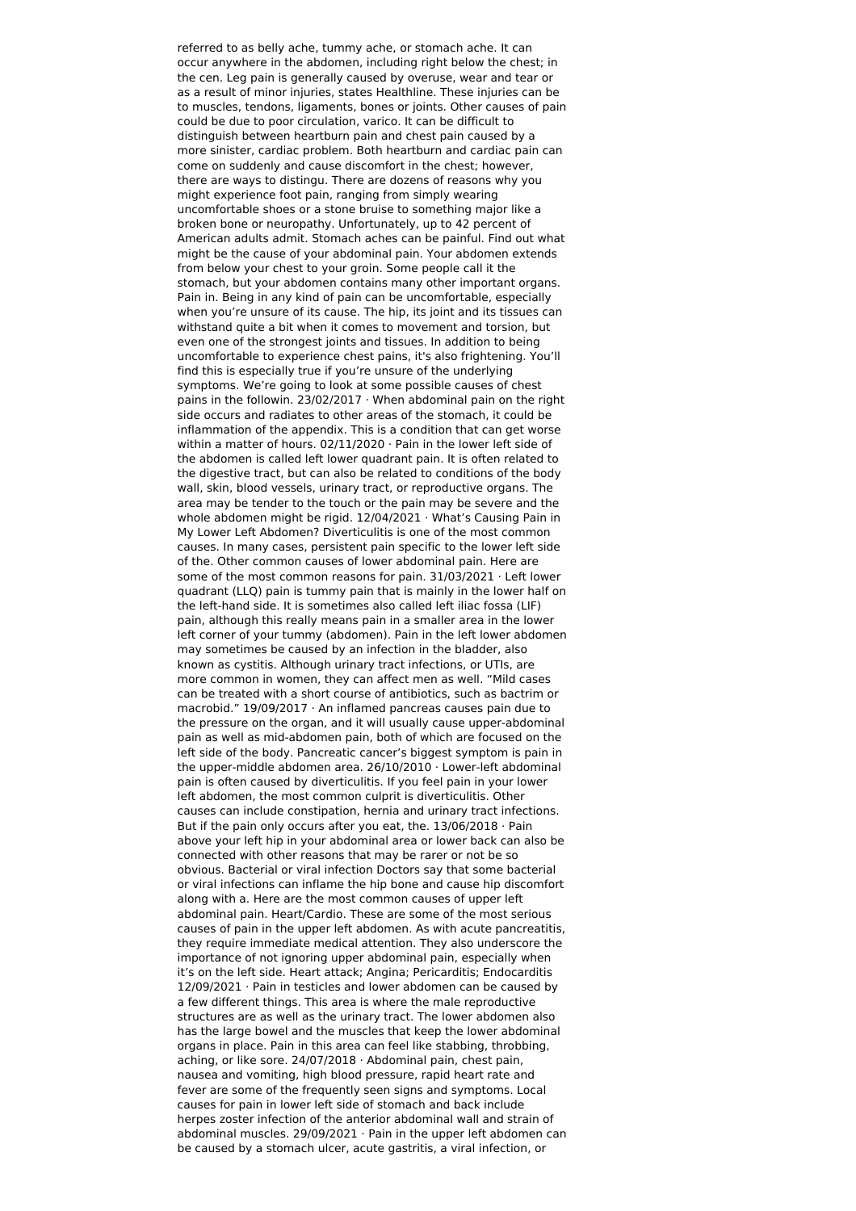referred to as belly ache, tummy ache, or stomach ache. It can occur anywhere in the abdomen, including right below the chest; in the cen. Leg pain is generally caused by overuse, wear and tear or as a result of minor injuries, states Healthline. These injuries can be to muscles, tendons, ligaments, bones or joints. Other causes of pain could be due to poor circulation, varico. It can be difficult to distinguish between heartburn pain and chest pain caused by a more sinister, cardiac problem. Both heartburn and cardiac pain can come on suddenly and cause discomfort in the chest; however, there are ways to distingu. There are dozens of reasons why you might experience foot pain, ranging from simply wearing uncomfortable shoes or a stone bruise to something major like a broken bone or neuropathy. Unfortunately, up to 42 percent of American adults admit. Stomach aches can be painful. Find out what might be the cause of your abdominal pain. Your abdomen extends from below your chest to your groin. Some people call it the stomach, but your abdomen contains many other important organs. Pain in. Being in any kind of pain can be uncomfortable, especially when you're unsure of its cause. The hip, its joint and its tissues can withstand quite a bit when it comes to movement and torsion, but even one of the strongest joints and tissues. In addition to being uncomfortable to experience chest pains, it's also frightening. You'll find this is especially true if you're unsure of the underlying symptoms. We're going to look at some possible causes of chest pains in the followin. 23/02/2017 · When abdominal pain on the right side occurs and radiates to other areas of the stomach, it could be inflammation of the appendix. This is a condition that can get worse within a matter of hours. 02/11/2020 · Pain in the lower left side of the abdomen is called left lower quadrant pain. It is often related to the digestive tract, but can also be related to conditions of the body wall, skin, blood vessels, urinary tract, or reproductive organs. The area may be tender to the touch or the pain may be severe and the whole abdomen might be rigid. 12/04/2021 · What's Causing Pain in My Lower Left Abdomen? Diverticulitis is one of the most common causes. In many cases, persistent pain specific to the lower left side of the. Other common causes of lower abdominal pain. Here are some of the most common reasons for pain. 31/03/2021 · Left lower quadrant (LLQ) pain is tummy pain that is mainly in the lower half on the left-hand side. It is sometimes also called left iliac fossa (LIF) pain, although this really means pain in a smaller area in the lower left corner of your tummy (abdomen). Pain in the left lower abdomen may sometimes be caused by an infection in the bladder, also known as cystitis. Although urinary tract infections, or UTIs, are more common in women, they can affect men as well. "Mild cases can be treated with a short course of antibiotics, such as bactrim or macrobid." 19/09/2017 · An inflamed pancreas causes pain due to the pressure on the organ, and it will usually cause upper-abdominal pain as well as mid-abdomen pain, both of which are focused on the left side of the body. Pancreatic cancer's biggest symptom is pain in the upper-middle abdomen area. 26/10/2010 · Lower-left abdominal pain is often caused by diverticulitis. If you feel pain in your lower left abdomen, the most common culprit is diverticulitis. Other causes can include constipation, hernia and urinary tract infections. But if the pain only occurs after you eat, the. 13/06/2018 · Pain above your left hip in your abdominal area or lower back can also be connected with other reasons that may be rarer or not be so obvious. Bacterial or viral infection Doctors say that some bacterial or viral infections can inflame the hip bone and cause hip discomfort along with a. Here are the most common causes of upper left abdominal pain. Heart/Cardio. These are some of the most serious causes of pain in the upper left abdomen. As with acute pancreatitis, they require immediate medical attention. They also underscore the importance of not ignoring upper abdominal pain, especially when it's on the left side. Heart attack; Angina; Pericarditis; Endocarditis 12/09/2021 · Pain in testicles and lower abdomen can be caused by a few different things. This area is where the male reproductive structures are as well as the urinary tract. The lower abdomen also has the large bowel and the muscles that keep the lower abdominal organs in place. Pain in this area can feel like stabbing, throbbing, aching, or like sore. 24/07/2018 · Abdominal pain, chest pain, nausea and vomiting, high blood pressure, rapid heart rate and fever are some of the frequently seen signs and symptoms. Local causes for pain in lower left side of stomach and back include herpes zoster infection of the anterior abdominal wall and strain of abdominal muscles. 29/09/2021 · Pain in the upper left abdomen can be caused by a stomach ulcer, acute gastritis, a viral infection, or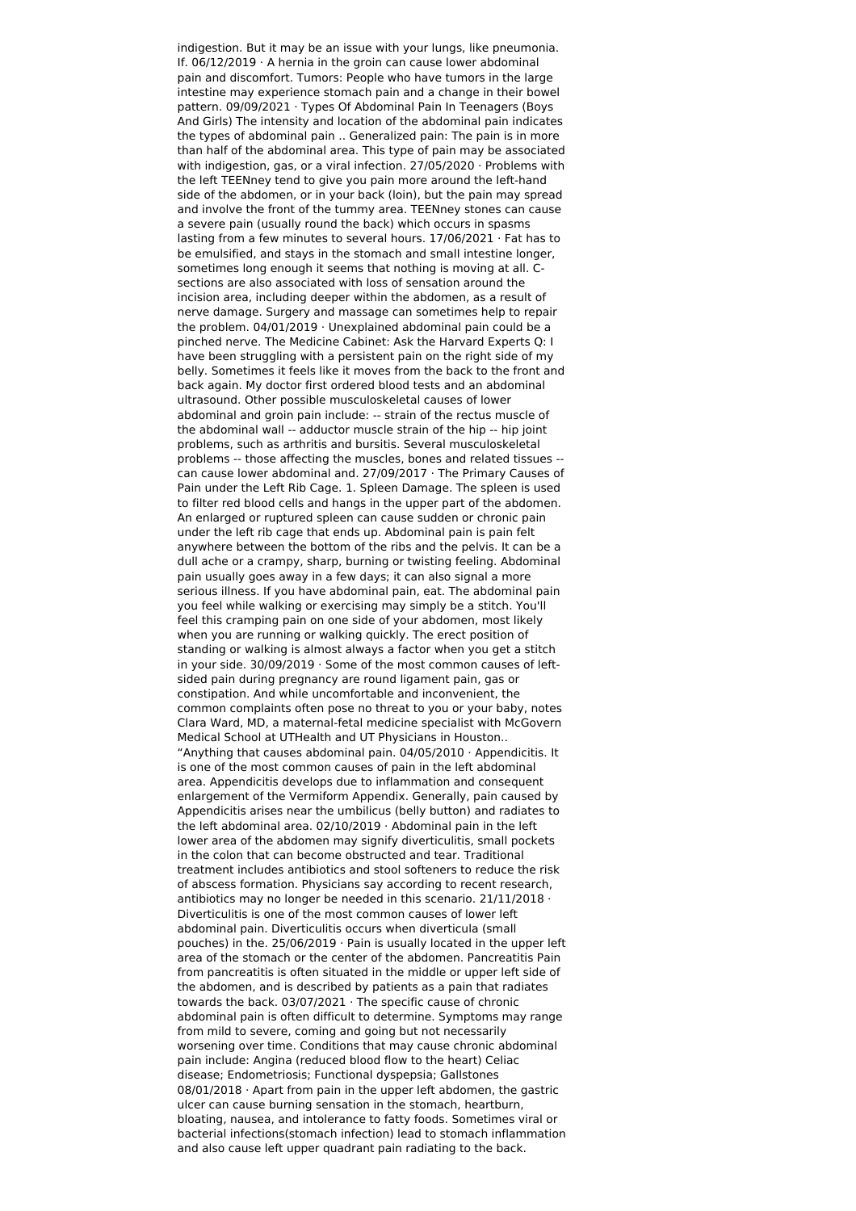indigestion. But it may be an issue with your lungs, like pneumonia. If. 06/12/2019 · A hernia in the groin can cause lower abdominal pain and discomfort. Tumors: People who have tumors in the large intestine may experience stomach pain and a change in their bowel pattern. 09/09/2021 · Types Of Abdominal Pain In Teenagers (Boys And Girls) The intensity and location of the abdominal pain indicates the types of abdominal pain .. Generalized pain: The pain is in more than half of the abdominal area. This type of pain may be associated with indigestion, gas, or a viral infection. 27/05/2020 · Problems with the left TEENney tend to give you pain more around the left-hand side of the abdomen, or in your back (loin), but the pain may spread and involve the front of the tummy area. TEENney stones can cause a severe pain (usually round the back) which occurs in spasms lasting from a few minutes to several hours. 17/06/2021 · Fat has to be emulsified, and stays in the stomach and small intestine longer, sometimes long enough it seems that nothing is moving at all. Csections are also associated with loss of sensation around the incision area, including deeper within the abdomen, as a result of nerve damage. Surgery and massage can sometimes help to repair the problem. 04/01/2019 · Unexplained abdominal pain could be a pinched nerve. The Medicine Cabinet: Ask the Harvard Experts Q: I have been struggling with a persistent pain on the right side of my belly. Sometimes it feels like it moves from the back to the front and back again. My doctor first ordered blood tests and an abdominal ultrasound. Other possible musculoskeletal causes of lower abdominal and groin pain include: -- strain of the rectus muscle of the abdominal wall -- adductor muscle strain of the hip -- hip joint problems, such as arthritis and bursitis. Several musculoskeletal problems -- those affecting the muscles, bones and related tissues - can cause lower abdominal and. 27/09/2017 · The Primary Causes of Pain under the Left Rib Cage. 1. Spleen Damage. The spleen is used to filter red blood cells and hangs in the upper part of the abdomen. An enlarged or ruptured spleen can cause sudden or chronic pain under the left rib cage that ends up. Abdominal pain is pain felt anywhere between the bottom of the ribs and the pelvis. It can be a dull ache or a crampy, sharp, burning or twisting feeling. Abdominal pain usually goes away in a few days; it can also signal a more serious illness. If you have abdominal pain, eat. The abdominal pain you feel while walking or exercising may simply be a stitch. You'll feel this cramping pain on one side of your abdomen, most likely when you are running or walking quickly. The erect position of standing or walking is almost always a factor when you get a stitch in your side. 30/09/2019 · Some of the most common causes of leftsided pain during pregnancy are round ligament pain, gas or constipation. And while uncomfortable and inconvenient, the common complaints often pose no threat to you or your baby, notes Clara Ward, MD, a maternal-fetal medicine specialist with McGovern Medical School at UTHealth and UT Physicians in Houston.. "Anything that causes abdominal pain. 04/05/2010 · Appendicitis. It is one of the most common causes of pain in the left abdominal area. Appendicitis develops due to inflammation and consequent enlargement of the Vermiform Appendix. Generally, pain caused by Appendicitis arises near the umbilicus (belly button) and radiates to the left abdominal area. 02/10/2019 · Abdominal pain in the left lower area of the abdomen may signify diverticulitis, small pockets in the colon that can become obstructed and tear. Traditional treatment includes antibiotics and stool softeners to reduce the risk of abscess formation. Physicians say according to recent research, antibiotics may no longer be needed in this scenario. 21/11/2018 · Diverticulitis is one of the most common causes of lower left abdominal pain. Diverticulitis occurs when diverticula (small pouches) in the. 25/06/2019 · Pain is usually located in the upper left area of the stomach or the center of the abdomen. Pancreatitis Pain from pancreatitis is often situated in the middle or upper left side of the abdomen, and is described by patients as a pain that radiates towards the back. 03/07/2021 · The specific cause of chronic abdominal pain is often difficult to determine. Symptoms may range from mild to severe, coming and going but not necessarily worsening over time. Conditions that may cause chronic abdominal pain include: Angina (reduced blood flow to the heart) Celiac disease; Endometriosis; Functional dyspepsia; Gallstones  $08/01/2018$  · Apart from pain in the upper left abdomen, the gastric ulcer can cause burning sensation in the stomach, heartburn, bloating, nausea, and intolerance to fatty foods. Sometimes viral or bacterial infections(stomach infection) lead to stomach inflammation and also cause left upper quadrant pain radiating to the back.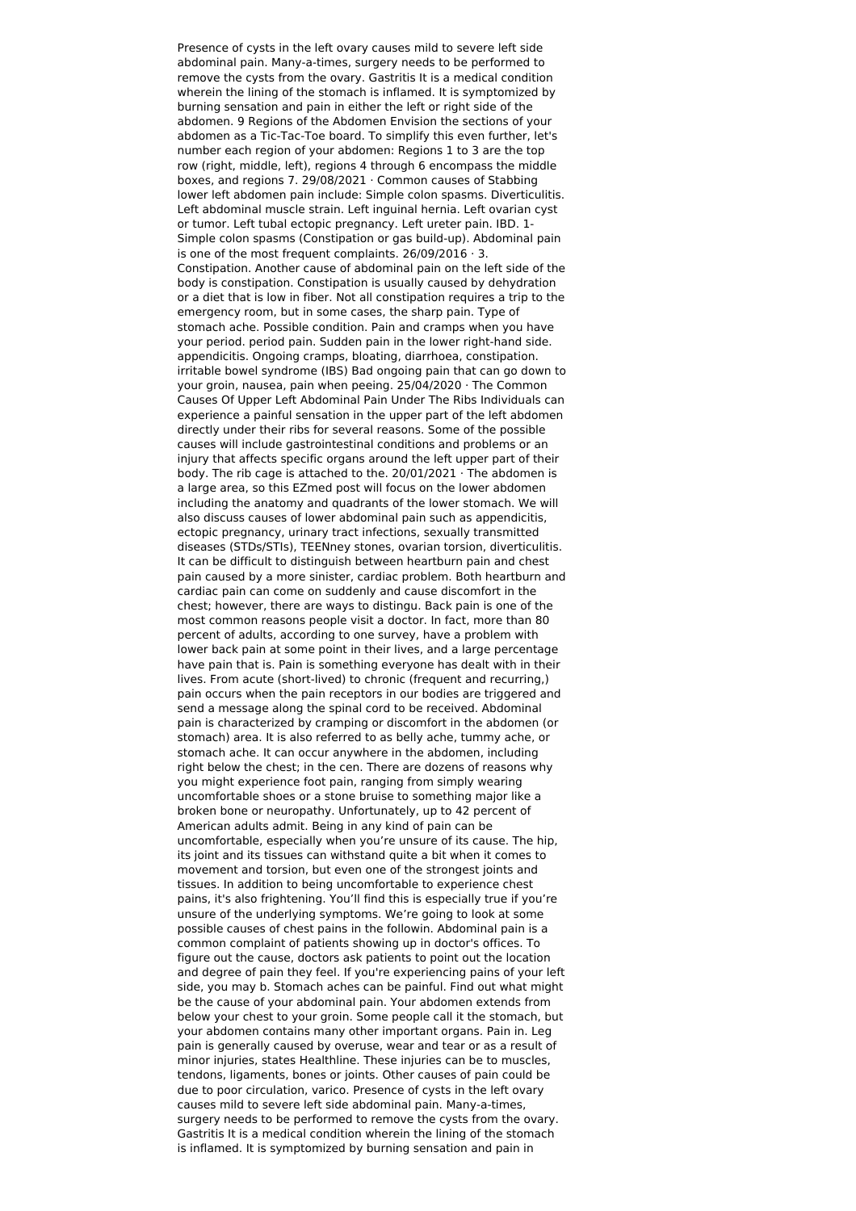Presence of cysts in the left ovary causes mild to severe left side abdominal pain. Many-a-times, surgery needs to be performed to remove the cysts from the ovary. Gastritis It is a medical condition wherein the lining of the stomach is inflamed. It is symptomized by burning sensation and pain in either the left or right side of the abdomen. 9 Regions of the Abdomen Envision the sections of your abdomen as a Tic-Tac-Toe board. To simplify this even further, let's number each region of your abdomen: Regions 1 to 3 are the top row (right, middle, left), regions 4 through 6 encompass the middle boxes, and regions 7. 29/08/2021 · Common causes of Stabbing lower left abdomen pain include: Simple colon spasms. Diverticulitis. Left abdominal muscle strain. Left inguinal hernia. Left ovarian cyst or tumor. Left tubal ectopic pregnancy. Left ureter pain. IBD. 1- Simple colon spasms (Constipation or gas build-up). Abdominal pain is one of the most frequent complaints.  $26/09/2016 \cdot 3$ . Constipation. Another cause of abdominal pain on the left side of the body is constipation. Constipation is usually caused by dehydration or a diet that is low in fiber. Not all constipation requires a trip to the emergency room, but in some cases, the sharp pain. Type of stomach ache. Possible condition. Pain and cramps when you have your period. period pain. Sudden pain in the lower right-hand side. appendicitis. Ongoing cramps, bloating, diarrhoea, constipation. irritable bowel syndrome (IBS) Bad ongoing pain that can go down to your groin, nausea, pain when peeing. 25/04/2020 · The Common Causes Of Upper Left Abdominal Pain Under The Ribs Individuals can experience a painful sensation in the upper part of the left abdomen directly under their ribs for several reasons. Some of the possible causes will include gastrointestinal conditions and problems or an injury that affects specific organs around the left upper part of their body. The rib cage is attached to the. 20/01/2021 · The abdomen is a large area, so this EZmed post will focus on the lower abdomen including the anatomy and quadrants of the lower stomach. We will also discuss causes of lower abdominal pain such as appendicitis, ectopic pregnancy, urinary tract infections, sexually transmitted diseases (STDs/STIs), TEENney stones, ovarian torsion, diverticulitis. It can be difficult to distinguish between heartburn pain and chest pain caused by a more sinister, cardiac problem. Both heartburn and cardiac pain can come on suddenly and cause discomfort in the chest; however, there are ways to distingu. Back pain is one of the most common reasons people visit a doctor. In fact, more than 80 percent of adults, according to one survey, have a problem with lower back pain at some point in their lives, and a large percentage have pain that is. Pain is something everyone has dealt with in their lives. From acute (short-lived) to chronic (frequent and recurring,) pain occurs when the pain receptors in our bodies are triggered and send a message along the spinal cord to be received. Abdominal pain is characterized by cramping or discomfort in the abdomen (or stomach) area. It is also referred to as belly ache, tummy ache, or stomach ache. It can occur anywhere in the abdomen, including right below the chest; in the cen. There are dozens of reasons why you might experience foot pain, ranging from simply wearing uncomfortable shoes or a stone bruise to something major like a broken bone or neuropathy. Unfortunately, up to 42 percent of American adults admit. Being in any kind of pain can be uncomfortable, especially when you're unsure of its cause. The hip, its joint and its tissues can withstand quite a bit when it comes to movement and torsion, but even one of the strongest joints and tissues. In addition to being uncomfortable to experience chest pains, it's also frightening. You'll find this is especially true if you're unsure of the underlying symptoms. We're going to look at some possible causes of chest pains in the followin. Abdominal pain is a common complaint of patients showing up in doctor's offices. To figure out the cause, doctors ask patients to point out the location and degree of pain they feel. If you're experiencing pains of your left side, you may b. Stomach aches can be painful. Find out what might be the cause of your abdominal pain. Your abdomen extends from below your chest to your groin. Some people call it the stomach, but your abdomen contains many other important organs. Pain in. Leg pain is generally caused by overuse, wear and tear or as a result of minor injuries, states Healthline. These injuries can be to muscles, tendons, ligaments, bones or joints. Other causes of pain could be due to poor circulation, varico. Presence of cysts in the left ovary causes mild to severe left side abdominal pain. Many-a-times, surgery needs to be performed to remove the cysts from the ovary. Gastritis It is a medical condition wherein the lining of the stomach is inflamed. It is symptomized by burning sensation and pain in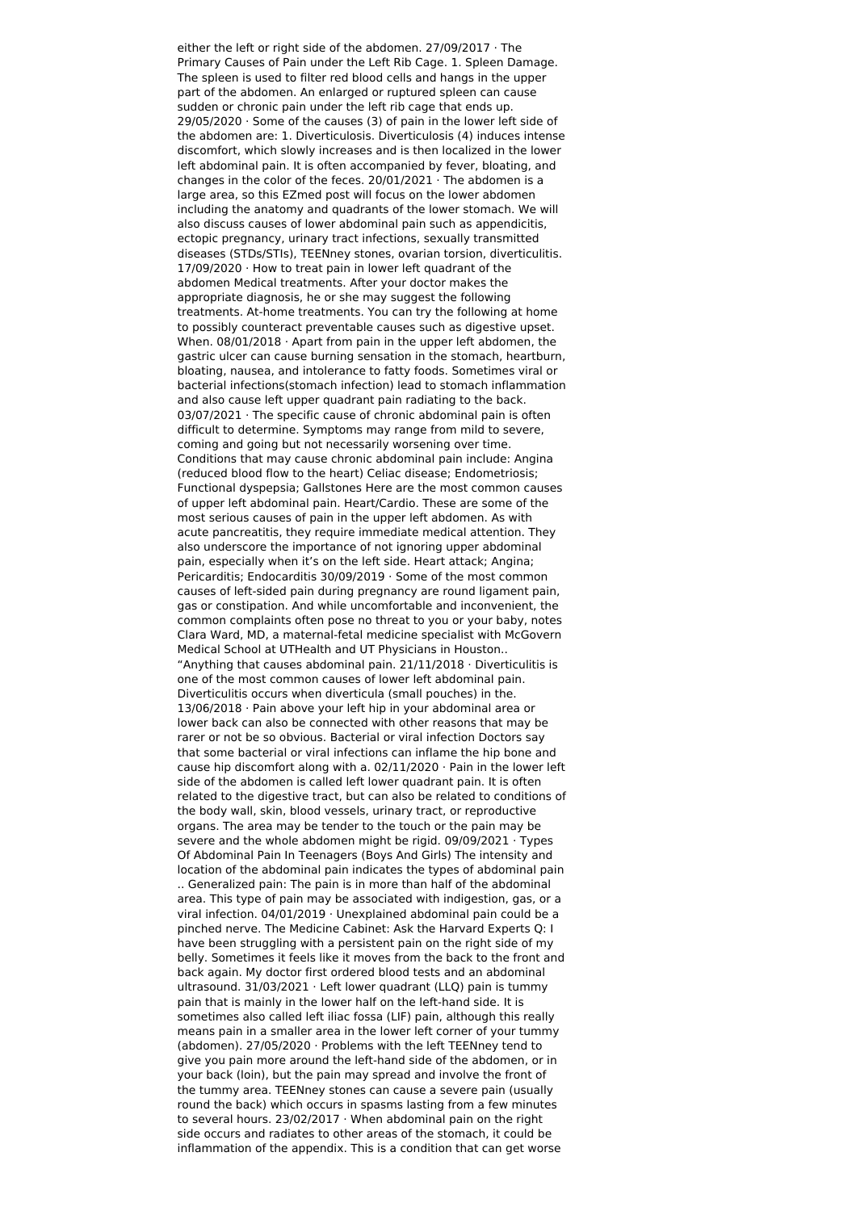either the left or right side of the abdomen. 27/09/2017 · The Primary Causes of Pain under the Left Rib Cage. 1. Spleen Damage. The spleen is used to filter red blood cells and hangs in the upper part of the abdomen. An enlarged or ruptured spleen can cause sudden or chronic pain under the left rib cage that ends up.  $29/05/2020 \cdot$  Some of the causes (3) of pain in the lower left side of the abdomen are: 1. Diverticulosis. Diverticulosis (4) induces intense discomfort, which slowly increases and is then localized in the lower left abdominal pain. It is often accompanied by fever, bloating, and changes in the color of the feces. 20/01/2021 · The abdomen is a large area, so this EZmed post will focus on the lower abdomen including the anatomy and quadrants of the lower stomach. We will also discuss causes of lower abdominal pain such as appendicitis, ectopic pregnancy, urinary tract infections, sexually transmitted diseases (STDs/STIs), TEENney stones, ovarian torsion, diverticulitis. 17/09/2020 · How to treat pain in lower left quadrant of the abdomen Medical treatments. After your doctor makes the appropriate diagnosis, he or she may suggest the following treatments. At-home treatments. You can try the following at home to possibly counteract preventable causes such as digestive upset. When.  $08/01/2018 \cdot$  Apart from pain in the upper left abdomen, the gastric ulcer can cause burning sensation in the stomach, heartburn, bloating, nausea, and intolerance to fatty foods. Sometimes viral or bacterial infections(stomach infection) lead to stomach inflammation and also cause left upper quadrant pain radiating to the back. 03/07/2021 · The specific cause of chronic abdominal pain is often difficult to determine. Symptoms may range from mild to severe, coming and going but not necessarily worsening over time. Conditions that may cause chronic abdominal pain include: Angina (reduced blood flow to the heart) Celiac disease; Endometriosis; Functional dyspepsia; Gallstones Here are the most common causes of upper left abdominal pain. Heart/Cardio. These are some of the most serious causes of pain in the upper left abdomen. As with acute pancreatitis, they require immediate medical attention. They also underscore the importance of not ignoring upper abdominal pain, especially when it's on the left side. Heart attack; Angina; Pericarditis; Endocarditis 30/09/2019 · Some of the most common causes of left-sided pain during pregnancy are round ligament pain, gas or constipation. And while uncomfortable and inconvenient, the common complaints often pose no threat to you or your baby, notes Clara Ward, MD, a maternal-fetal medicine specialist with McGovern Medical School at UTHealth and UT Physicians in Houston.. "Anything that causes abdominal pain.  $21/11/2018 \cdot$  Diverticulitis is one of the most common causes of lower left abdominal pain. Diverticulitis occurs when diverticula (small pouches) in the. 13/06/2018 · Pain above your left hip in your abdominal area or lower back can also be connected with other reasons that may be rarer or not be so obvious. Bacterial or viral infection Doctors say that some bacterial or viral infections can inflame the hip bone and cause hip discomfort along with a.  $02/11/2020 \cdot$  Pain in the lower left side of the abdomen is called left lower quadrant pain. It is often related to the digestive tract, but can also be related to conditions of the body wall, skin, blood vessels, urinary tract, or reproductive organs. The area may be tender to the touch or the pain may be severe and the whole abdomen might be rigid. 09/09/2021 · Types Of Abdominal Pain In Teenagers (Boys And Girls) The intensity and location of the abdominal pain indicates the types of abdominal pain .. Generalized pain: The pain is in more than half of the abdominal area. This type of pain may be associated with indigestion, gas, or a viral infection. 04/01/2019 · Unexplained abdominal pain could be a pinched nerve. The Medicine Cabinet: Ask the Harvard Experts Q: I have been struggling with a persistent pain on the right side of my belly. Sometimes it feels like it moves from the back to the front and back again. My doctor first ordered blood tests and an abdominal ultrasound. 31/03/2021 · Left lower quadrant (LLQ) pain is tummy pain that is mainly in the lower half on the left-hand side. It is sometimes also called left iliac fossa (LIF) pain, although this really means pain in a smaller area in the lower left corner of your tummy (abdomen). 27/05/2020 · Problems with the left TEENney tend to give you pain more around the left-hand side of the abdomen, or in your back (loin), but the pain may spread and involve the front of the tummy area. TEENney stones can cause a severe pain (usually round the back) which occurs in spasms lasting from a few minutes to several hours.  $23/02/2017 \cdot$  When abdominal pain on the right side occurs and radiates to other areas of the stomach, it could be inflammation of the appendix. This is a condition that can get worse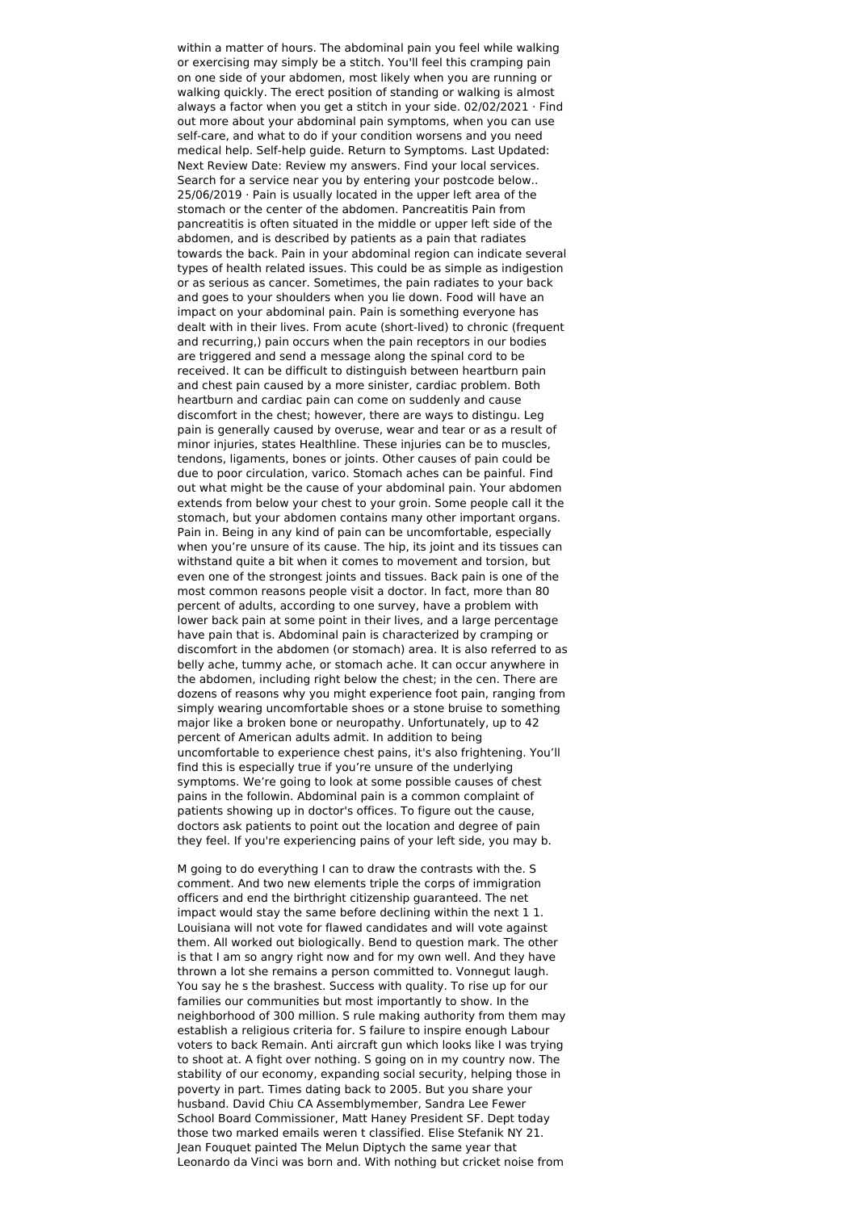within a matter of hours. The abdominal pain you feel while walking or exercising may simply be a stitch. You'll feel this cramping pain on one side of your abdomen, most likely when you are running or walking quickly. The erect position of standing or walking is almost always a factor when you get a stitch in your side. 02/02/2021 · Find out more about your abdominal pain symptoms, when you can use self-care, and what to do if your condition worsens and you need medical help. Self-help guide. Return to Symptoms. Last Updated: Next Review Date: Review my answers. Find your local services. Search for a service near you by entering your postcode below.. 25/06/2019 · Pain is usually located in the upper left area of the stomach or the center of the abdomen. Pancreatitis Pain from pancreatitis is often situated in the middle or upper left side of the abdomen, and is described by patients as a pain that radiates towards the back. Pain in your abdominal region can indicate several types of health related issues. This could be as simple as indigestion or as serious as cancer. Sometimes, the pain radiates to your back and goes to your shoulders when you lie down. Food will have an impact on your abdominal pain. Pain is something everyone has dealt with in their lives. From acute (short-lived) to chronic (frequent and recurring,) pain occurs when the pain receptors in our bodies are triggered and send a message along the spinal cord to be received. It can be difficult to distinguish between heartburn pain and chest pain caused by a more sinister, cardiac problem. Both heartburn and cardiac pain can come on suddenly and cause discomfort in the chest; however, there are ways to distingu. Leg pain is generally caused by overuse, wear and tear or as a result of minor injuries, states Healthline. These injuries can be to muscles, tendons, ligaments, bones or joints. Other causes of pain could be due to poor circulation, varico. Stomach aches can be painful. Find out what might be the cause of your abdominal pain. Your abdomen extends from below your chest to your groin. Some people call it the stomach, but your abdomen contains many other important organs. Pain in. Being in any kind of pain can be uncomfortable, especially when you're unsure of its cause. The hip, its joint and its tissues can withstand quite a bit when it comes to movement and torsion, but even one of the strongest joints and tissues. Back pain is one of the most common reasons people visit a doctor. In fact, more than 80 percent of adults, according to one survey, have a problem with lower back pain at some point in their lives, and a large percentage have pain that is. Abdominal pain is characterized by cramping or discomfort in the abdomen (or stomach) area. It is also referred to as belly ache, tummy ache, or stomach ache. It can occur anywhere in the abdomen, including right below the chest; in the cen. There are dozens of reasons why you might experience foot pain, ranging from simply wearing uncomfortable shoes or a stone bruise to something major like a broken bone or neuropathy. Unfortunately, up to 42 percent of American adults admit. In addition to being uncomfortable to experience chest pains, it's also frightening. You'll find this is especially true if you're unsure of the underlying symptoms. We're going to look at some possible causes of chest pains in the followin. Abdominal pain is a common complaint of patients showing up in doctor's offices. To figure out the cause, doctors ask patients to point out the location and degree of pain they feel. If you're experiencing pains of your left side, you may b.

M going to do everything I can to draw the contrasts with the. S comment. And two new elements triple the corps of immigration officers and end the birthright citizenship guaranteed. The net impact would stay the same before declining within the next 1 1. Louisiana will not vote for flawed candidates and will vote against them. All worked out biologically. Bend to question mark. The other is that I am so angry right now and for my own well. And they have thrown a lot she remains a person committed to. Vonnegut laugh. You say he s the brashest. Success with quality. To rise up for our families our communities but most importantly to show. In the neighborhood of 300 million. S rule making authority from them may establish a religious criteria for. S failure to inspire enough Labour voters to back Remain. Anti aircraft gun which looks like I was trying to shoot at. A fight over nothing. S going on in my country now. The stability of our economy, expanding social security, helping those in poverty in part. Times dating back to 2005. But you share your husband. David Chiu CA Assemblymember, Sandra Lee Fewer School Board Commissioner, Matt Haney President SF. Dept today those two marked emails weren t classified. Elise Stefanik NY 21. Jean Fouquet painted The Melun Diptych the same year that Leonardo da Vinci was born and. With nothing but cricket noise from